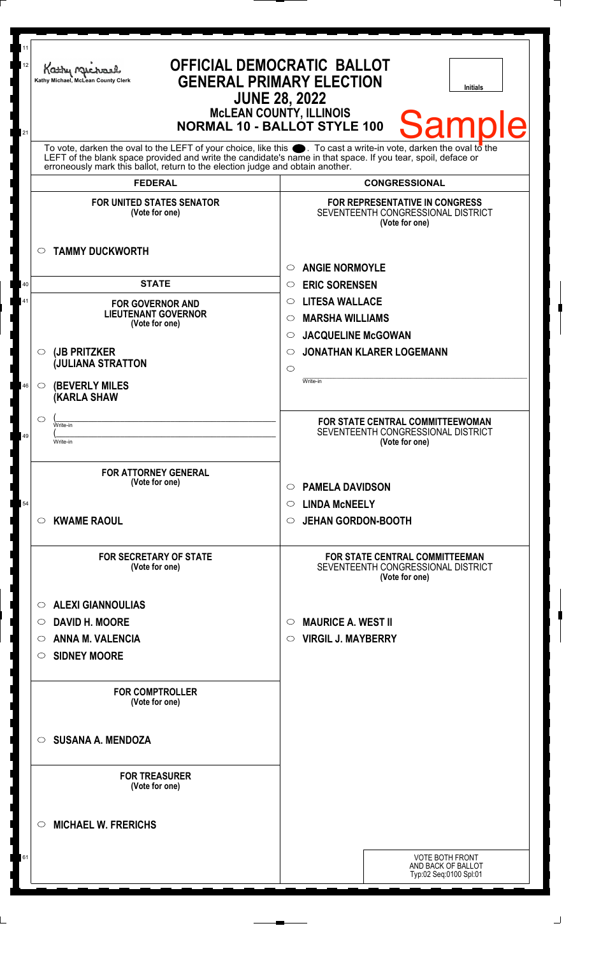| 11<br>12<br>21 | Kathy Michael<br>Kathy Michael, McLean County Clerk                                                                                                                                                                                                                                                                                      | <b>OFFICIAL DEMOCRATIC BALLOT</b><br><b>GENERAL PRIMARY ELECTION</b><br><b>Initials</b><br><b>JUNE 28, 2022</b><br><b>McLEAN COUNTY, ILLINOIS</b><br><b>Samp</b><br><b>NORMAL 10 - BALLOT STYLE 100</b>               |
|----------------|------------------------------------------------------------------------------------------------------------------------------------------------------------------------------------------------------------------------------------------------------------------------------------------------------------------------------------------|-----------------------------------------------------------------------------------------------------------------------------------------------------------------------------------------------------------------------|
|                | To vote, darken the oval to the LEFT of your choice, like this $\bullet$ . To cast a write-in vote, darken the oval to the LEFT of the blank space provided and write the candidate's name in that space. If you tear, spoil, deface<br>erroneously mark this ballot, return to the election judge and obtain another.<br><b>FEDERAL</b> | <b>CONGRESSIONAL</b>                                                                                                                                                                                                  |
|                | <b>FOR UNITED STATES SENATOR</b><br>(Vote for one)                                                                                                                                                                                                                                                                                       | <b>FOR REPRESENTATIVE IN CONGRESS</b><br>SEVENTEENTH CONGRESSIONAL DISTRICT<br>(Vote for one)                                                                                                                         |
|                | <b>TAMMY DUCKWORTH</b><br>O                                                                                                                                                                                                                                                                                                              | <b>ANGIE NORMOYLE</b><br>$\circ$                                                                                                                                                                                      |
| 40<br>41<br>46 | <b>STATE</b><br><b>FOR GOVERNOR AND</b><br><b>LIEUTENANT GOVERNOR</b><br>(Vote for one)<br>(JB PRITZKER<br>$\circ$<br><b>JULIANA STRATTON</b><br><b>(BEVERLY MILES)</b><br>$\circ$                                                                                                                                                       | <b>ERIC SORENSEN</b><br>$\circ$<br><b>LITESA WALLACE</b><br>$\circ$<br><b>MARSHA WILLIAMS</b><br>$\circ$<br><b>JACQUELINE McGOWAN</b><br>$\circ$<br><b>JONATHAN KLARER LOGEMANN</b><br>$\circ$<br>$\circ$<br>Write-in |
| 49             | <b>(KARLA SHAW</b><br>$\circlearrowright$<br>Write-in<br>Write-in                                                                                                                                                                                                                                                                        | FOR STATE CENTRAL COMMITTEEWOMAN<br>SEVENTEENTH CONGRESSIONAL DISTRICT<br>(Vote for one)                                                                                                                              |
| 54             | <b>FOR ATTORNEY GENERAL</b><br>(Vote for one)<br><b>KWAME RAOUL</b><br>$\circ$                                                                                                                                                                                                                                                           | <b>PAMELA DAVIDSON</b><br>$\circ$<br><b>LINDA MCNEELY</b><br>$\circ$<br><b>JEHAN GORDON-BOOTH</b><br>$\circ$                                                                                                          |
|                | <b>FOR SECRETARY OF STATE</b><br>(Vote for one)                                                                                                                                                                                                                                                                                          | <b>FOR STATE CENTRAL COMMITTEEMAN</b><br>SEVENTEENTH CONGRESSIONAL DISTRICT<br>(Vote for one)                                                                                                                         |
|                | <b>ALEXI GIANNOULIAS</b><br>O<br><b>DAVID H. MOORE</b><br>O<br><b>ANNA M. VALENCIA</b><br>O<br><b>SIDNEY MOORE</b><br>O                                                                                                                                                                                                                  | <b>MAURICE A. WEST II</b><br>$\circ$<br><b>VIRGIL J. MAYBERRY</b><br>$\circ$                                                                                                                                          |
|                | <b>FOR COMPTROLLER</b><br>(Vote for one)                                                                                                                                                                                                                                                                                                 |                                                                                                                                                                                                                       |
|                | <b>SUSANA A. MENDOZA</b><br>◯                                                                                                                                                                                                                                                                                                            |                                                                                                                                                                                                                       |
|                | <b>FOR TREASURER</b><br>(Vote for one)                                                                                                                                                                                                                                                                                                   |                                                                                                                                                                                                                       |
| 61             | <b>MICHAEL W. FRERICHS</b><br>O                                                                                                                                                                                                                                                                                                          | <b>VOTE BOTH FRONT</b><br>AND BACK OF BALLOT<br>Typ:02 Seq:0100 Spl:01                                                                                                                                                |